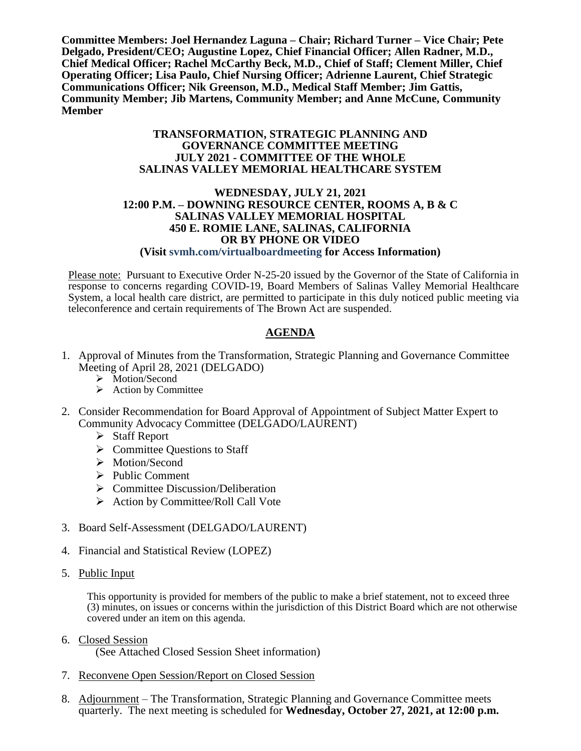**Committee Members: Joel Hernandez Laguna – Chair; Richard Turner – Vice Chair; Pete Delgado, President/CEO; Augustine Lopez, Chief Financial Officer; Allen Radner, M.D., Chief Medical Officer; Rachel McCarthy Beck, M.D., Chief of Staff; Clement Miller, Chief Operating Officer; Lisa Paulo, Chief Nursing Officer; Adrienne Laurent, Chief Strategic Communications Officer; Nik Greenson, M.D., Medical Staff Member; Jim Gattis, Community Member; Jib Martens, Community Member; and Anne McCune, Community Member**

#### **TRANSFORMATION, STRATEGIC PLANNING AND GOVERNANCE COMMITTEE MEETING JULY 2021 - COMMITTEE OF THE WHOLE SALINAS VALLEY MEMORIAL HEALTHCARE SYSTEM**

#### **WEDNESDAY, JULY 21, 2021 12:00 P.M. – DOWNING RESOURCE CENTER, ROOMS A, B & C SALINAS VALLEY MEMORIAL HOSPITAL 450 E. ROMIE LANE, SALINAS, CALIFORNIA OR BY PHONE OR VIDEO (Visit svmh.com/virtualboardmeeting for Access Information)**

Please note: Pursuant to Executive Order N-25-20 issued by the Governor of the State of California in response to concerns regarding COVID-19, Board Members of Salinas Valley Memorial Healthcare System, a local health care district, are permitted to participate in this duly noticed public meeting via teleconference and certain requirements of The Brown Act are suspended.

## **AGENDA**

- 1. Approval of Minutes from the Transformation, Strategic Planning and Governance Committee Meeting of April 28, 2021 (DELGADO)
	- > Motion/Second
	- $\triangleright$  Action by Committee
- 2. Consider Recommendation for Board Approval of Appointment of Subject Matter Expert to Community Advocacy Committee (DELGADO/LAURENT)
	- $\triangleright$  Staff Report
	- $\triangleright$  Committee Ouestions to Staff
	- > Motion/Second
	- $\triangleright$  Public Comment
	- $\triangleright$  Committee Discussion/Deliberation
	- $\triangleright$  Action by Committee/Roll Call Vote
- 3. Board Self-Assessment (DELGADO/LAURENT)
- 4. Financial and Statistical Review (LOPEZ)
- 5. Public Input

This opportunity is provided for members of the public to make a brief statement, not to exceed three (3) minutes, on issues or concerns within the jurisdiction of this District Board which are not otherwise covered under an item on this agenda.

- 6. Closed Session (See Attached Closed Session Sheet information)
- 7. Reconvene Open Session/Report on Closed Session
- 8. Adjournment The Transformation, Strategic Planning and Governance Committee meets quarterly. The next meeting is scheduled for **Wednesday, October 27, 2021, at 12:00 p.m.**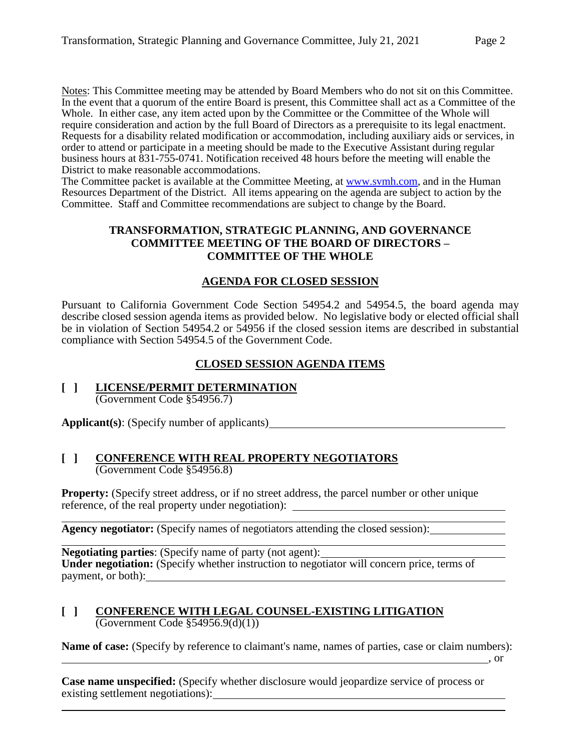Notes: This Committee meeting may be attended by Board Members who do not sit on this Committee. In the event that a quorum of the entire Board is present, this Committee shall act as a Committee of the Whole. In either case, any item acted upon by the Committee or the Committee of the Whole will require consideration and action by the full Board of Directors as a prerequisite to its legal enactment. Requests for a disability related modification or accommodation, including auxiliary aids or services, in order to attend or participate in a meeting should be made to the Executive Assistant during regular business hours at 831-755-0741. Notification received 48 hours before the meeting will enable the District to make reasonable accommodations.

The Committee packet is available at the Committee Meeting, at [www.svmh.com,](http://www.svmh.com/) and in the Human Resources Department of the District. All items appearing on the agenda are subject to action by the Committee. Staff and Committee recommendations are subject to change by the Board.

### **TRANSFORMATION, STRATEGIC PLANNING, AND GOVERNANCE COMMITTEE MEETING OF THE BOARD OF DIRECTORS – COMMITTEE OF THE WHOLE**

## **AGENDA FOR CLOSED SESSION**

Pursuant to California Government Code Section 54954.2 and 54954.5, the board agenda may describe closed session agenda items as provided below. No legislative body or elected official shall be in violation of Section 54954.2 or 54956 if the closed session items are described in substantial compliance with Section 54954.5 of the Government Code.

## **CLOSED SESSION AGENDA ITEMS**

**[ ] LICENSE/PERMIT DETERMINATION** (Government Code §54956.7)

**Applicant(s)**: (Specify number of applicants)

### **[ ] CONFERENCE WITH REAL PROPERTY NEGOTIATORS** (Government Code §54956.8)

**Property:** (Specify street address, or if no street address, the parcel number or other unique reference, of the real property under negotiation):

**Agency negotiator:** (Specify names of negotiators attending the closed session):

**Negotiating parties**: (Specify name of party (not agent): **Under negotiation:** (Specify whether instruction to negotiator will concern price, terms of payment, or both):

### **[ ] CONFERENCE WITH LEGAL COUNSEL-EXISTING LITIGATION** (Government Code §54956.9(d)(1))

**Name of case:** (Specify by reference to claimant's name, names of parties, case or claim numbers):

, or

**Case name unspecified:** (Specify whether disclosure would jeopardize service of process or existing settlement negotiations):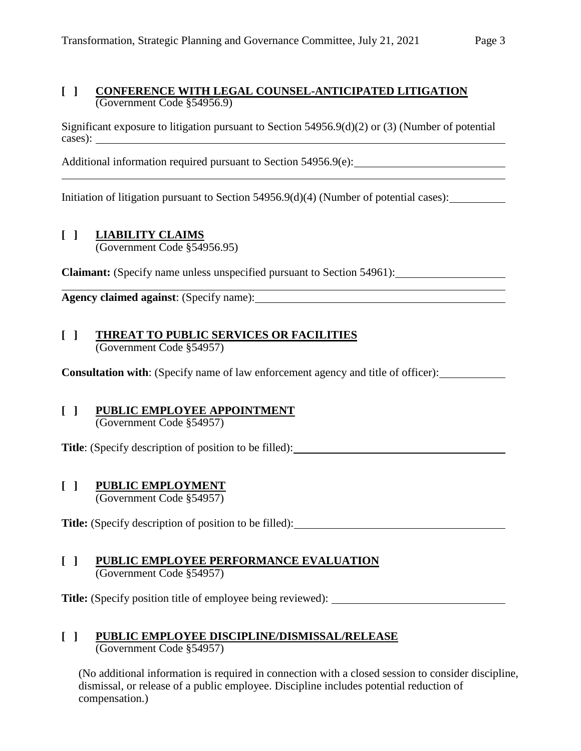## **[ ] CONFERENCE WITH LEGAL COUNSEL-ANTICIPATED LITIGATION** (Government Code §54956.9)

Significant exposure to litigation pursuant to Section 54956.9(d)(2) or (3) (Number of potential cases):

Additional information required pursuant to Section 54956.9(e):

Initiation of litigation pursuant to Section 54956.9(d)(4) (Number of potential cases):

# **[ ] LIABILITY CLAIMS**

(Government Code §54956.95)

**Claimant:** (Specify name unless unspecified pursuant to Section 54961):

**Agency claimed against**: (Specify name):

## **[ ] THREAT TO PUBLIC SERVICES OR FACILITIES** (Government Code §54957)

**Consultation with**: (Specify name of law enforcement agency and title of officer):

# **[ ] PUBLIC EMPLOYEE APPOINTMENT**

(Government Code §54957)

**Title**: (Specify description of position to be filled):

# **[ ] PUBLIC EMPLOYMENT**

(Government Code §54957)

**Title:** (Specify description of position to be filled):

### **[ ] PUBLIC EMPLOYEE PERFORMANCE EVALUATION** (Government Code §54957)

**Title:** (Specify position title of employee being reviewed): \_\_\_\_\_\_\_\_\_\_\_\_\_\_\_\_\_\_\_

## **[ ] PUBLIC EMPLOYEE DISCIPLINE/DISMISSAL/RELEASE** (Government Code §54957)

(No additional information is required in connection with a closed session to consider discipline, dismissal, or release of a public employee. Discipline includes potential reduction of compensation.)